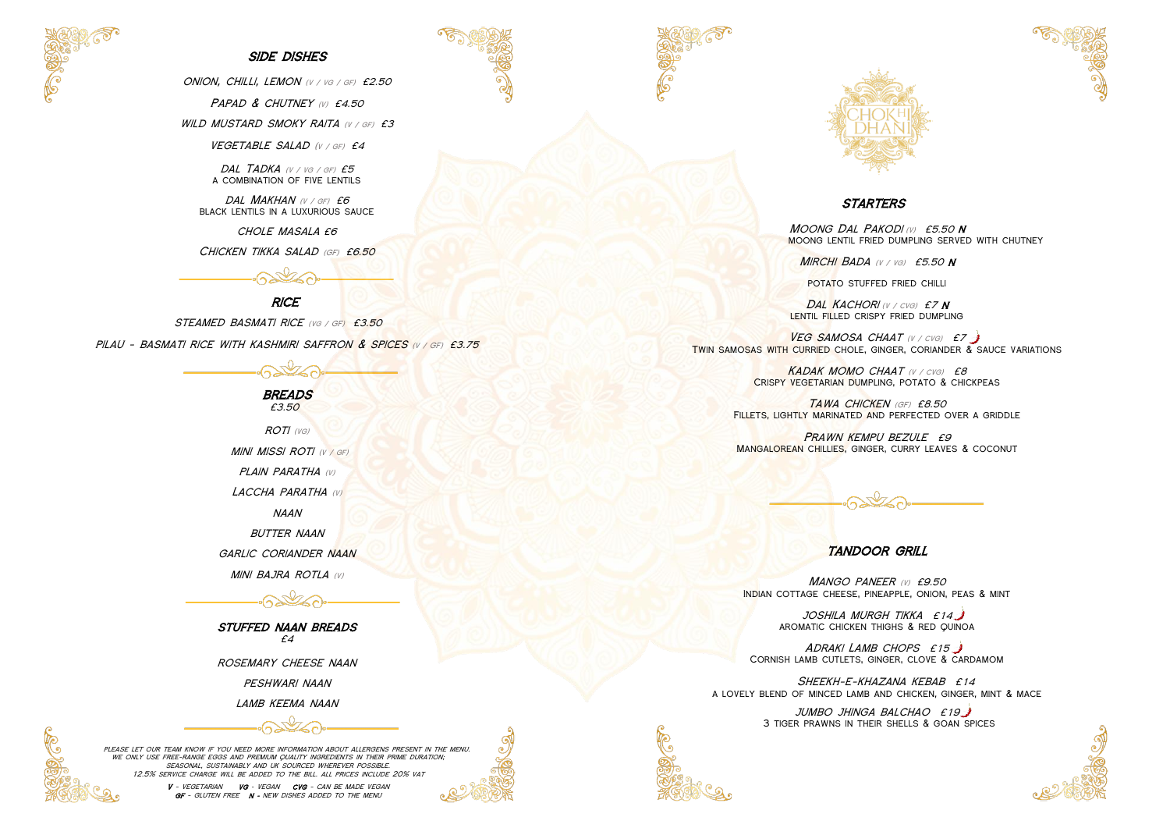

### **SIDE DISHES**

ONION, CHILLI, LEMON (V / VG / GF) £2.50

PAPAD & CHUTNEY (V) £4.50

WILD MUSTARD SMOKY RAITA (V / GF) £3

VEGETABLE SALAD (V / GF) £4

DAL TADKA (V / VG / GF) £5 a combination of five lentils

DAL MAKHAN (V / GF) £6 black lentils in a luxurious sauce

> **BREADS** £3.50

 $ROTI$  (vg) MINI MISSI ROTI (V / GF) PLAIN PARATHA (V) LACCHA PARATHA (V)

chole masala £6

CHICKEN TIKKA SALAD (GF) £6.50

# **RICE**

STEAMED BASMATI RICE (VG / GF) £3.50

pilau - basmati rice with kashmiri saffron & spices (v / GF) £3.75



naan

**BUTTER NAAN** 

GARLIC CORIANDER NAAN

**MINI BAJRA ROTLA (V)** 

stuffed naan breads £4

rosemary cheese naan

peshwari naan

lamb keema naan



VEG SAMOSA CHAAT (V / CVG) £7 Twin samosas with curried chole, ginger, coriander & sauce variations

> KADAK MOMO CHAAT (V / CVG) £8 Crispy vegetarian dumpling, potato & chickpeas

TAWA CHICKEN (GF) £8.50 FILLETS, LIGHTLY MARINATED AND PERFECTED OVER A GRIDDLE

PRAWN KEMPU BEZULE £9 MANGALOREAN CHILLIES, GINGER, CURRY LEAVES & COCONUT

please let our team know if you need more information about allergens present in the menu. we only use free-range eggs and premium quality ingredients in their prime duration; seasonal, sustainably and uk sourced wherever possible. 12.5% service charge will be added to the bill. all prices include 20% vat



MANGO PANEER (V) £9.50 Indian cottage cheese, pineapple, onion, peas & mint

ADRAKI LAMB CHOPS £15 Cornish lamb cutlets, ginger, clove & cardamom

SHEEKH-E-KHAZANA KEBAB £14 a lovely blend of minced lamb and chicken, ginger, mint & mace







# **STARTERS**

Moong Dal Pakodi (v)£5.50 N moong lentil fried dumpling served with chutney

**MIRCHI BADA** (V / VG) £5.50 N

potato stuffed fried chilli

DAL KACHORI (V / CVG) £7 N LENTIL FILLED CRISPY FRIED DUMPLING

# tandoor grill

joshila murgh tikka £14 aromatic chicken thighs & red quinoa

jumbo jhinga balchao £19 3 tiger prawns in their shells & goan spices